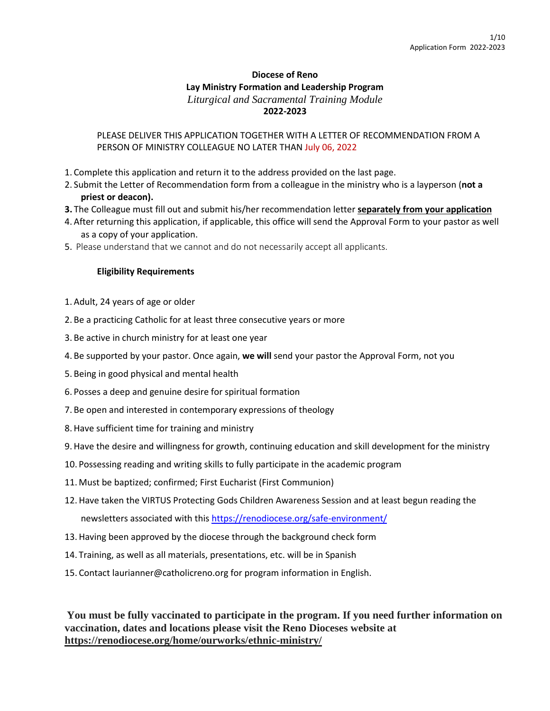# **Diocese of Reno Lay Ministry Formation and Leadership Program** *Liturgical and Sacramental Training Module* **2022-2023**

## PLEASE DELIVER THIS APPLICATION TOGETHER WITH A LETTER OF RECOMMENDATION FROM A PERSON OF MINISTRY COLLEAGUE NO LATER THAN July 06, 2022

- 1. Complete this application and return it to the address provided on the last page.
- 2. Submit the Letter of Recommendation form from a colleague in the ministry who is a layperson (**not a priest or deacon).**
- **3.** The Colleague must fill out and submit his/her recommendation letter **separately from your application**
- 4. After returning this application, if applicable, this office will send the Approval Form to your pastor as well as a copy of your application.
- 5. Please understand that we cannot and do not necessarily accept all applicants.

#### **Eligibility Requirements**

- 1. Adult, 24 years of age or older
- 2. Be a practicing Catholic for at least three consecutive years or more
- 3. Be active in church ministry for at least one year
- 4. Be supported by your pastor. Once again, **we will** send your pastor the Approval Form, not you
- 5. Being in good physical and mental health
- 6. Posses a deep and genuine desire for spiritual formation
- 7. Be open and interested in contemporary expressions of theology
- 8. Have sufficient time for training and ministry
- 9. Have the desire and willingness for growth, continuing education and skill development for the ministry
- 10. Possessing reading and writing skills to fully participate in the academic program
- 11. Must be baptized; confirmed; First Eucharist (First Communion)
- 12. Have taken the VIRTUS Protecting Gods Children Awareness Session and at least begun reading the newsletters associated with this <https://renodiocese.org/safe-environment/>
- 13. Having been approved by the diocese through the background check form
- 14. Training, as well as all materials, presentations, etc. will be in Spanish
- 15. Contact laurianner@catholicreno.org for program information in English.

# **You must be fully vaccinated to participate in the program. If you need further information on vaccination, dates and locations please visit the Reno Dioceses website at <https://renodiocese.org/home/ourworks/ethnic-ministry/>**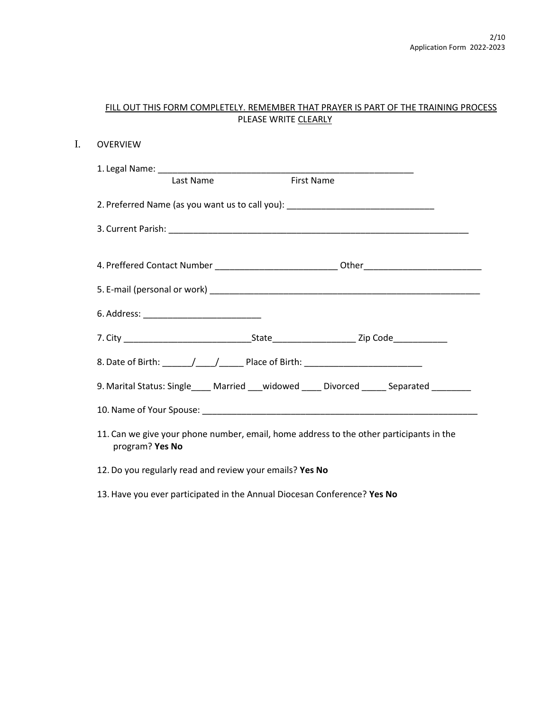|                                                          | PLEASE WRITE CLEARLY |                                                                                          |  |
|----------------------------------------------------------|----------------------|------------------------------------------------------------------------------------------|--|
| <b>OVERVIEW</b>                                          |                      |                                                                                          |  |
| Last Name                                                |                      | <b>First Name</b>                                                                        |  |
|                                                          |                      | 2. Preferred Name (as you want us to call you): ________________________________         |  |
|                                                          |                      |                                                                                          |  |
|                                                          |                      |                                                                                          |  |
|                                                          |                      |                                                                                          |  |
| 6. Address: ______________________________               |                      |                                                                                          |  |
|                                                          |                      |                                                                                          |  |
|                                                          |                      |                                                                                          |  |
|                                                          |                      | 9. Marital Status: Single____ Married ___ widowed _____ Divorced _____ Separated _______ |  |
|                                                          |                      |                                                                                          |  |
| program? Yes No                                          |                      | 11. Can we give your phone number, email, home address to the other participants in the  |  |
| 12. Do you regularly read and review your emails? Yes No |                      |                                                                                          |  |

FILL OUT THIS FORM COMPLETELY. REMEMBER THAT PRAYER IS PART OF THE TRAINING PROCESS

 $I.$ 

## 13. Have you ever participated in the Annual Diocesan Conference? **Yes No**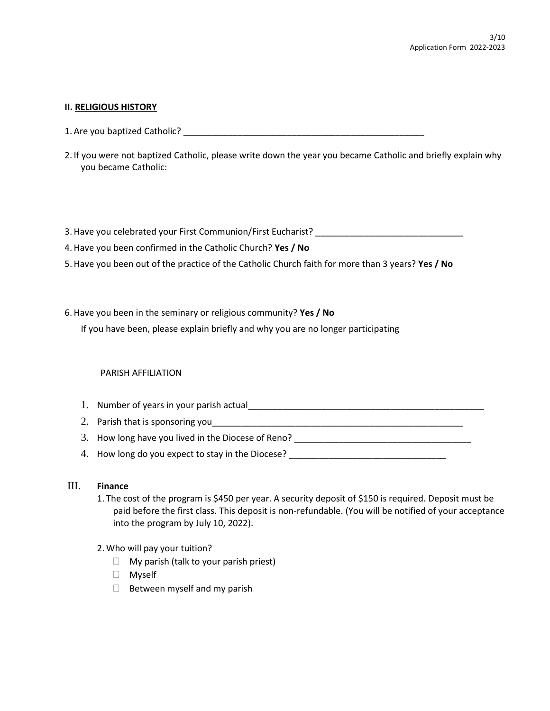#### **II. RELIGIOUS HISTORY**

- 1. Are you baptized Catholic?
- 2. If you were not baptized Catholic, please write down the year you became Catholic and briefly explain why you became Catholic:

3. Have you celebrated your First Communion/First Eucharist? \_\_\_\_\_\_\_\_\_\_\_\_\_\_\_\_\_\_\_

- 4. Have you been confirmed in the Catholic Church? **Yes / No**
- 5. Have you been out of the practice of the Catholic Church faith for more than 3 years? **Yes / No**
- 6. Have you been in the seminary or religious community? **Yes / No**

If you have been, please explain briefly and why you are no longer participating

#### PARISH AFFILIATION

- 1. Number of years in your parish actual
- 2. Parish that is sponsoring you
- 3. How long have you lived in the Diocese of Reno? \_\_\_\_\_\_\_\_\_\_\_\_\_\_\_\_\_\_\_\_\_\_\_\_\_\_\_\_\_
- 4. How long do you expect to stay in the Diocese?

#### III. **Finance**

- 1. The cost of the program is \$450 per year. A security deposit of \$150 is required. Deposit must be paid before the first class. This deposit is non-refundable. (You will be notified of your acceptance into the program by July 10, 2022).
- 2. Who will pay your tuition?
	- $\Box$  My parish (talk to your parish priest)
	- Myself
	- $\Box$  Between myself and my parish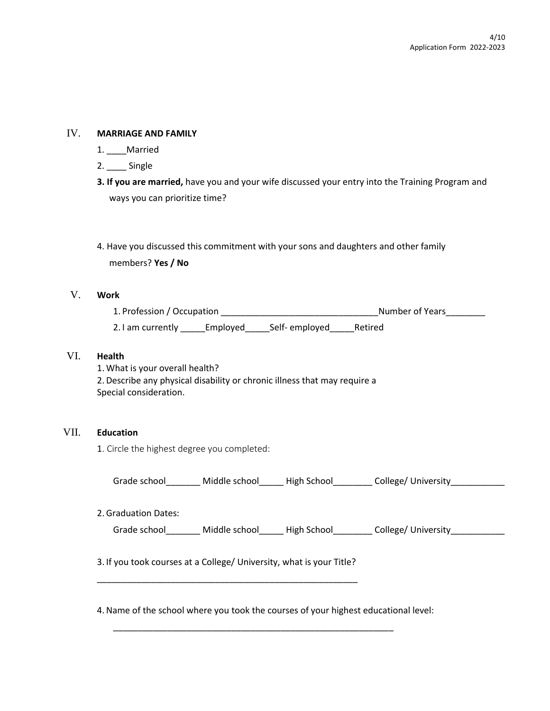## IV. **MARRIAGE AND FAMILY**

- 1. \_\_\_\_Married
- 2. \_\_\_\_ Single
- **3. If you are married,** have you and your wife discussed your entry into the Training Program and ways you can prioritize time?

# 4. Have you discussed this commitment with your sons and daughters and other family members? **Yes / No**

## V. **Work**

1. Profession / Occupation \_\_\_\_\_\_\_\_\_\_\_\_\_\_\_\_\_\_\_\_\_\_\_\_\_\_\_\_\_\_\_\_Number of Years\_\_\_\_\_\_\_\_ 2. I am currently \_\_\_\_\_Employed\_\_\_\_\_Self- employed\_\_\_\_\_Retired

## VI. **Health**

1. What is your overall health? 2. Describe any physical disability or chronic illness that may require a Special consideration.

#### VII. **Education**

1. Circle the highest degree you completed:

| Grade school | Middle school | High School | College/ University |  |
|--------------|---------------|-------------|---------------------|--|
|              |               |             |                     |  |

| 2. Graduation Dates: |  |  |
|----------------------|--|--|
|                      |  |  |

Grade school and Middle school and High School and College/ University

3. If you took courses at a College/ University, what is your Title? \_\_\_\_\_\_\_\_\_\_\_\_\_\_\_\_\_\_\_\_\_\_\_\_\_\_\_\_\_\_\_\_\_\_\_\_\_\_\_\_\_\_\_\_\_\_\_\_\_\_\_\_\_

4.Name of the school where you took the courses of your highest educational level:

\_\_\_\_\_\_\_\_\_\_\_\_\_\_\_\_\_\_\_\_\_\_\_\_\_\_\_\_\_\_\_\_\_\_\_\_\_\_\_\_\_\_\_\_\_\_\_\_\_\_\_\_\_\_\_\_\_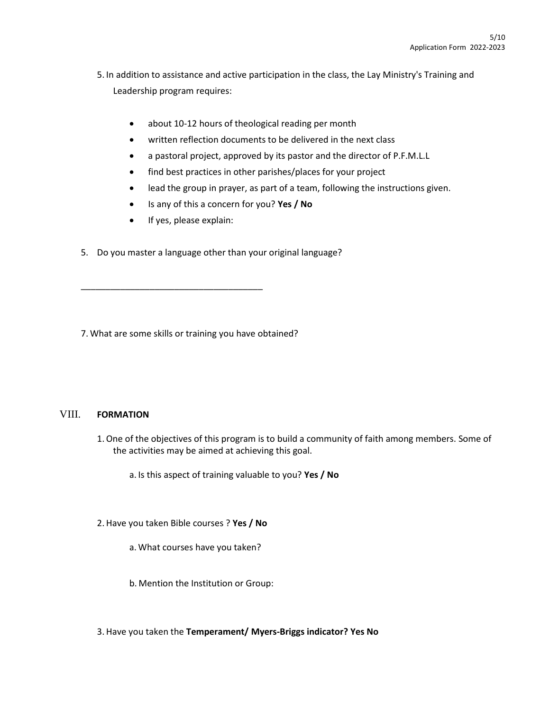5. In addition to assistance and active participation in the class, the Lay Ministry's Training and Leadership program requires:

- about 10-12 hours of theological reading per month
- written reflection documents to be delivered in the next class
- a pastoral project, approved by its pastor and the director of P.F.M.L.L
- find best practices in other parishes/places for your project
- lead the group in prayer, as part of a team, following the instructions given.
- Is any of this a concern for you? **Yes / No**
- If yes, please explain:

\_\_\_\_\_\_\_\_\_\_\_\_\_\_\_\_\_\_\_\_\_\_\_\_\_\_\_\_\_\_\_\_\_\_\_\_\_

5. Do you master a language other than your original language?

7. What are some skills or training you have obtained?

## VIII. **FORMATION**

1.One of the objectives of this program is to build a community of faith among members. Some of the activities may be aimed at achieving this goal.

a. Is this aspect of training valuable to you? **Yes / No**

- 2. Have you taken Bible courses ? **Yes / No**
	- a. What courses have you taken?
	- b. Mention the Institution or Group:
- 3. Have you taken the **Temperament/ Myers-Briggs indicator? Yes No**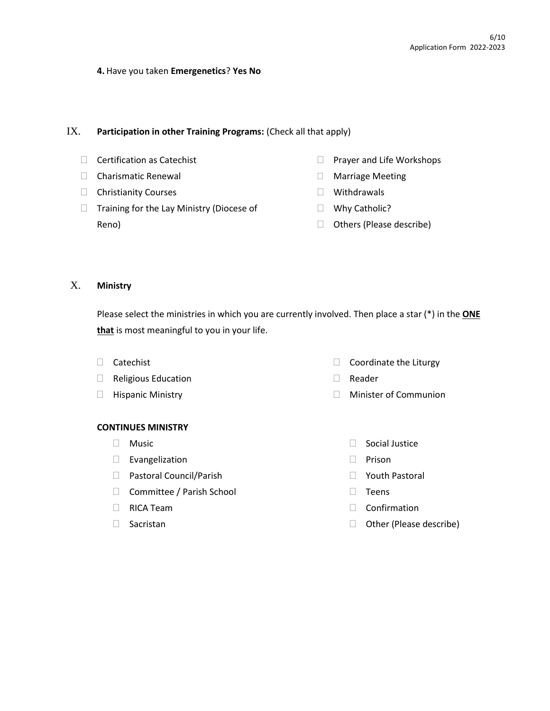#### **4.** Have you taken **Emergenetics**? **Yes No**

#### IX. **Participation in other Training Programs:** (Check all that apply)

- □ Certification as Catechist
- □ Charismatic Renewal
- $\Box$  Christianity Courses
- $\Box$  Training for the Lay Ministry (Diocese of Reno)
- $\Box$  Prayer and Life Workshops
- Marriage Meeting
- Withdrawals
- □ Why Catholic?
- $\Box$  Others (Please describe)

## X. **Ministry**

Please select the ministries in which you are currently involved. Then place a star (\*) in the **ONE that** is most meaningful to you in your life.

- Catechist
- Religious Education
- $\Box$  Hispanic Ministry

#### **CONTINUES MINISTRY**

- $\Box$  Music
- $\square$  Evangelization
- □ Pastoral Council/Parish
- □ Committee / Parish School
- $\Box$  RICA Team
- $\Box$  Sacristan
- $\Box$  Coordinate the Liturgy
- Reader
	- Minister of Communion
		- $\Box$  Social Justice
		- D Prison
		- Youth Pastoral
		- $\Box$  Teens
		- Confirmation
		- □ Other (Please describe)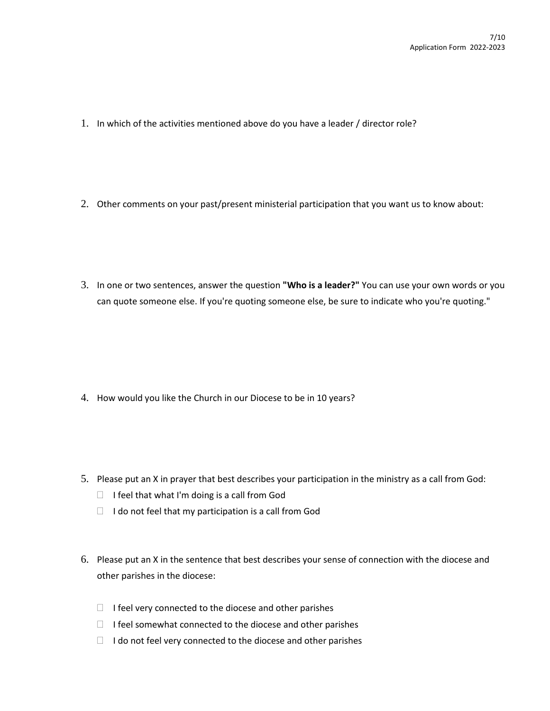- 1. In which of the activities mentioned above do you have a leader / director role?
- 2. Other comments on your past/present ministerial participation that you want us to know about:
- 3. In one or two sentences, answer the question **"Who is a leader?"** You can use your own words or you can quote someone else. If you're quoting someone else, be sure to indicate who you're quoting."

- 4. How would you like the Church in our Diocese to be in 10 years?
- 5. Please put an X in prayer that best describes your participation in the ministry as a call from God:
	- $\Box$  I feel that what I'm doing is a call from God
	- $\Box$  I do not feel that my participation is a call from God
- 6. Please put an X in the sentence that best describes your sense of connection with the diocese and other parishes in the diocese:
	- $\Box$  I feel very connected to the diocese and other parishes
	- $\Box$  I feel somewhat connected to the diocese and other parishes
	- $\Box$  I do not feel very connected to the diocese and other parishes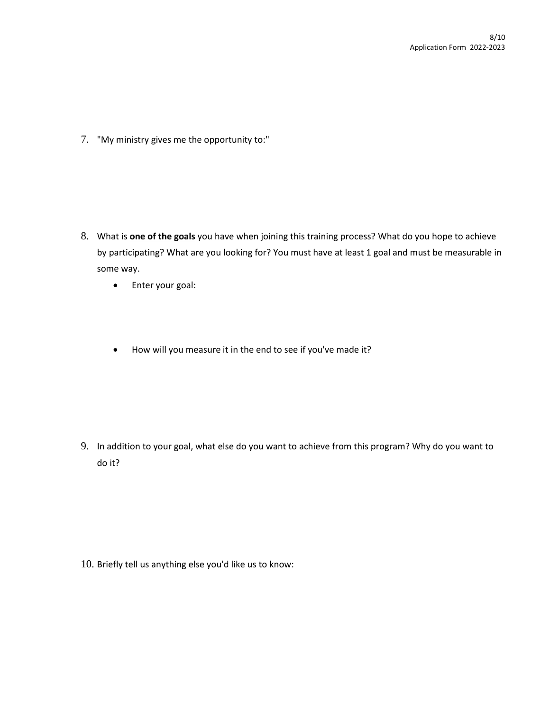7. "My ministry gives me the opportunity to:"

- 8. What is **one of the goals** you have when joining this training process? What do you hope to achieve by participating? What are you looking for? You must have at least 1 goal and must be measurable in some way.
	- Enter your goal:
	- How will you measure it in the end to see if you've made it?

9. In addition to your goal, what else do you want to achieve from this program? Why do you want to do it?

10. Briefly tell us anything else you'd like us to know: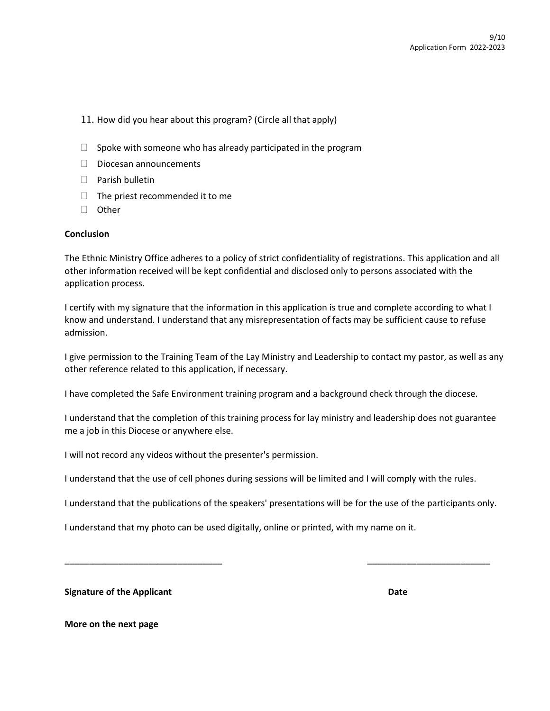- 11. How did you hear about this program? (Circle all that apply)
- $\Box$  Spoke with someone who has already participated in the program
- $\Box$  Diocesan announcements
- $\Box$  Parish bulletin
- $\Box$  The priest recommended it to me
- □ Other

#### **Conclusion**

The Ethnic Ministry Office adheres to a policy of strict confidentiality of registrations. This application and all other information received will be kept confidential and disclosed only to persons associated with the application process.

I certify with my signature that the information in this application is true and complete according to what I know and understand. I understand that any misrepresentation of facts may be sufficient cause to refuse admission.

I give permission to the Training Team of the Lay Ministry and Leadership to contact my pastor, as well as any other reference related to this application, if necessary.

I have completed the Safe Environment training program and a background check through the diocese.

I understand that the completion of this training process for lay ministry and leadership does not guarantee me a job in this Diocese or anywhere else.

I will not record any videos without the presenter's permission.

I understand that the use of cell phones during sessions will be limited and I will comply with the rules.

I understand that the publications of the speakers' presentations will be for the use of the participants only.

\_\_\_\_\_\_\_\_\_\_\_\_\_\_\_\_\_\_\_\_\_\_\_\_\_\_\_\_\_\_\_\_ \_\_\_\_\_\_\_\_\_\_\_\_\_\_\_\_\_\_\_\_\_\_\_\_\_

I understand that my photo can be used digitally, online or printed, with my name on it.

**Signature of the Applicant Date Date Date Date Date Date** 

**More on the next page**